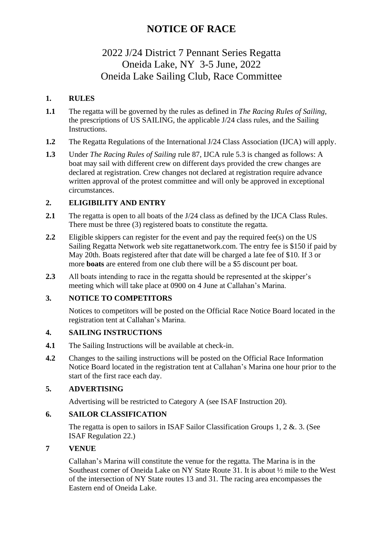## 2022 J/24 District 7 Pennant Series Regatta Oneida Lake, NY 3-5 June, 2022 Oneida Lake Sailing Club, Race Committee

## **1. RULES**

- **1.1** The regatta will be governed by the rules as defined in *The Racing Rules of Sailing,*  the prescriptions of US SAILING, the applicable J/24 class rules, and the Sailing Instructions.
- **1.2** The Regatta Regulations of the International J/24 Class Association (IJCA) will apply.
- **1.3** Under *The Racing Rules of Sailing* rule 87, IJCA rule 5.3 is changed as follows: A boat may sail with different crew on different days provided the crew changes are declared at registration. Crew changes not declared at registration require advance written approval of the protest committee and will only be approved in exceptional circumstances.

## **2. ELIGIBILITY AND ENTRY**

- 2.1 The regatta is open to all boats of the J/24 class as defined by the IJCA Class Rules. There must be three (3) registered boats to constitute the regatta.
- **2.2** Eligible skippers can register for the event and pay the required fee(s) on the US Sailing Regatta Network web site regattanetwork.com. The entry fee is \$150 if paid by May 20th. Boats registered after that date will be charged a late fee of \$10. If 3 or more **boats** are entered from one club there will be a \$5 discount per boat.
- **2.3** All boats intending to race in the regatta should be represented at the skipper's meeting which will take place at 0900 on 4 June at Callahan's Marina.

## **3. NOTICE TO COMPETITORS**

Notices to competitors will be posted on the Official Race Notice Board located in the registration tent at Callahan's Marina.

## **4. SAILING INSTRUCTIONS**

- **4.1** The Sailing Instructions will be available at check-in.
- **4.2** Changes to the sailing instructions will be posted on the Official Race Information Notice Board located in the registration tent at Callahan's Marina one hour prior to the start of the first race each day.

## **5. ADVERTISING**

Advertising will be restricted to Category A (see ISAF Instruction 20).

## **6. SAILOR CLASSIFICATION**

The regatta is open to sailors in ISAF Sailor Classification Groups 1, 2 &. 3. (See ISAF Regulation 22.)

## **7 VENUE**

Callahan's Marina will constitute the venue for the regatta. The Marina is in the Southeast corner of Oneida Lake on NY State Route 31. It is about ½ mile to the West of the intersection of NY State routes 13 and 31. The racing area encompasses the Eastern end of Oneida Lake.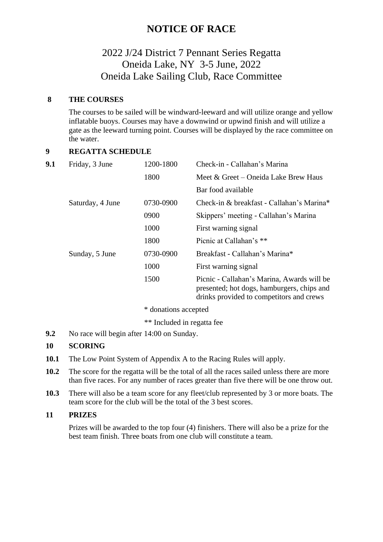## 2022 J/24 District 7 Pennant Series Regatta Oneida Lake, NY 3-5 June, 2022 Oneida Lake Sailing Club, Race Committee

#### **8 THE COURSES**

The courses to be sailed will be windward-leeward and will utilize orange and yellow inflatable buoys. Courses may have a downwind or upwind finish and will utilize a gate as the leeward turning point. Courses will be displayed by the race committee on the water.

## **9 REGATTA SCHEDULE**

| 9.1 | Friday, 3 June   | 1200-1800 | Check-in - Callahan's Marina                                                                                                         |
|-----|------------------|-----------|--------------------------------------------------------------------------------------------------------------------------------------|
|     |                  | 1800      | Meet & Greet – Oneida Lake Brew Haus                                                                                                 |
|     |                  |           | Bar food available                                                                                                                   |
|     | Saturday, 4 June | 0730-0900 | Check-in & breakfast - Callahan's Marina*                                                                                            |
|     |                  | 0900      | Skippers' meeting - Callahan's Marina                                                                                                |
|     |                  | 1000      | First warning signal                                                                                                                 |
|     |                  | 1800      | Picnic at Callahan's **                                                                                                              |
|     | Sunday, 5 June   | 0730-0900 | Breakfast - Callahan's Marina*                                                                                                       |
|     |                  | 1000      | First warning signal                                                                                                                 |
|     |                  | 1500      | Picnic - Callahan's Marina, Awards will be<br>presented; hot dogs, hamburgers, chips and<br>drinks provided to competitors and crews |

\* donations accepted

\*\* Included in regatta fee

**9.2** No race will begin after 14:00 on Sunday.

#### **10 SCORING**

- **10.1** The Low Point System of Appendix A to the Racing Rules will apply.
- **10.2** The score for the regatta will be the total of all the races sailed unless there are more than five races. For any number of races greater than five there will be one throw out.
- **10.3** There will also be a team score for any fleet/club represented by 3 or more boats. The team score for the club will be the total of the 3 best scores.

#### **11 PRIZES**

Prizes will be awarded to the top four (4) finishers. There will also be a prize for the best team finish. Three boats from one club will constitute a team.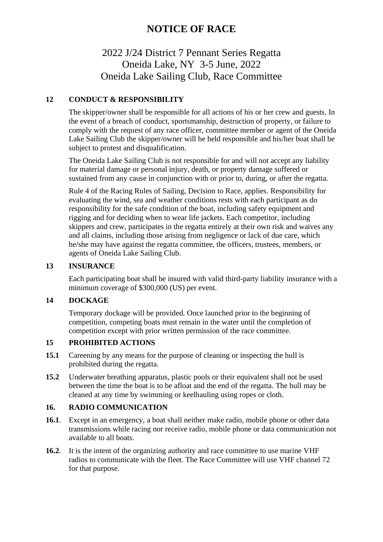## 2022 J/24 District 7 Pennant Series Regatta Oneida Lake, NY 3-5 June, 2022 Oneida Lake Sailing Club, Race Committee

## **12 CONDUCT & RESPONSIBILITY**

The skipper/owner shall be responsible for all actions of his or her crew and guests. In the event of a breach of conduct, sportsmanship, destruction of property, or failure to comply with the request of any race officer, committee member or agent of the Oneida Lake Sailing Club the skipper/owner will be held responsible and his/her boat shall be subject to protest and disqualification.

The Oneida Lake Sailing Club is not responsible for and will not accept any liability for material damage or personal injury, death, or property damage suffered or sustained from any cause in conjunction with or prior to, during, or after the regatta.

Rule 4 of the Racing Rules of Sailing, Decision to Race, applies. Responsibility for evaluating the wind, sea and weather conditions rests with each participant as do responsibility for the safe condition of the boat, including safety equipment and rigging and for deciding when to wear life jackets. Each competitor, including skippers and crew, participates in the regatta entirely at their own risk and waives any and all claims, including those arising from negligence or lack of due care, which he/she may have against the regatta committee, the officers, trustees, members, or agents of Oneida Lake Sailing Club.

#### **13 INSURANCE**

Each participating boat shall be insured with valid third-party liability insurance with a minimum coverage of \$300,000 (US) per event.

## **14 DOCKAGE**

Temporary dockage will be provided. Once launched prior to the beginning of competition, competing boats must remain in the water until the completion of competition except with prior written permission of the race committee.

## **15 PROHIBITED ACTIONS**

- **15.1** Careening by any means for the purpose of cleaning or inspecting the hull is prohibited during the regatta.
- **15.2** Underwater breathing apparatus, plastic pools or their equivalent shall not be used between the time the boat is to be afloat and the end of the regatta. The hull may be cleaned at any time by swimming or keelhauling using ropes or cloth.

## **16. RADIO COMMUNICATION**

- **16.1**. Except in an emergency, a boat shall neither make radio, mobile phone or other data transmissions while racing nor receive radio, mobile phone or data communication not available to all boats.
- **16.2**. It is the intent of the organizing authority and race committee to use marine VHF radios to communicate with the fleet. The Race Committee will use VHF channel 72 for that purpose.